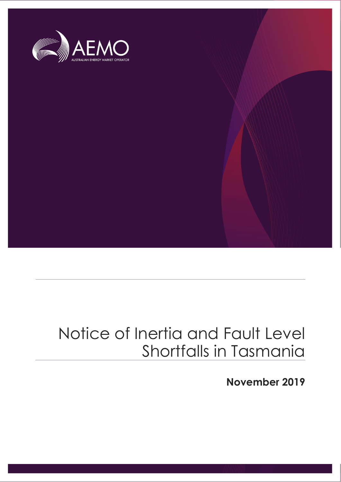

# Notice of Inertia and Fault Level Shortfalls in Tasmania

**November 2019**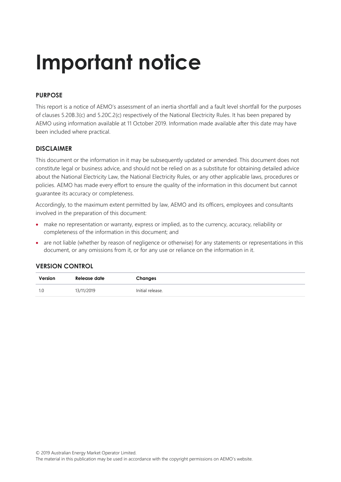# **Important notice**

#### **PURPOSE**

This report is a notice of AEMO's assessment of an inertia shortfall and a fault level shortfall for the purposes of clauses 5.20B.3(c) and 5.20C.2(c) respectively of the National Electricity Rules. It has been prepared by AEMO using information available at 11 October 2019. Information made available after this date may have been included where practical.

#### **DISCLAIMER**

This document or the information in it may be subsequently updated or amended. This document does not constitute legal or business advice, and should not be relied on as a substitute for obtaining detailed advice about the National Electricity Law, the National Electricity Rules, or any other applicable laws, procedures or policies. AEMO has made every effort to ensure the quality of the information in this document but cannot guarantee its accuracy or completeness.

Accordingly, to the maximum extent permitted by law, AEMO and its officers, employees and consultants involved in the preparation of this document:

- make no representation or warranty, express or implied, as to the currency, accuracy, reliability or completeness of the information in this document; and
- are not liable (whether by reason of negligence or otherwise) for any statements or representations in this document, or any omissions from it, or for any use or reliance on the information in it.

#### **VERSION CONTROL**

| Version | Release date | Changes          |
|---------|--------------|------------------|
|         | 13/11/2019   | Initial release. |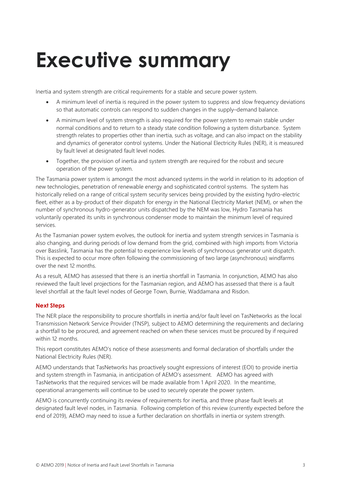# <span id="page-2-0"></span>**Executive summary**

Inertia and system strength are critical requirements for a stable and secure power system.

- A minimum level of inertia is required in the power system to suppress and slow frequency deviations so that automatic controls can respond to sudden changes in the supply–demand balance.
- A minimum level of system strength is also required for the power system to remain stable under normal conditions and to return to a steady state condition following a system disturbance. System strength relates to properties other than inertia, such as voltage, and can also impact on the stability and dynamics of generator control systems. Under the National Electricity Rules (NER), it is measured by fault level at designated fault level nodes.
- Together, the provision of inertia and system strength are required for the robust and secure operation of the power system.

The Tasmania power system is amongst the most advanced systems in the world in relation to its adoption of new technologies, penetration of renewable energy and sophisticated control systems. The system has historically relied on a range of critical system security services being provided by the existing hydro-electric fleet, either as a by-product of their dispatch for energy in the National Electricity Market (NEM), or when the number of synchronous hydro-generator units dispatched by the NEM was low, Hydro Tasmania has voluntarily operated its units in synchronous condenser mode to maintain the minimum level of required services.

As the Tasmanian power system evolves, the outlook for inertia and system strength services in Tasmania is also changing, and during periods of low demand from the grid, combined with high imports from Victoria over Basslink, Tasmania has the potential to experience low levels of synchronous generator unit dispatch. This is expected to occur more often following the commissioning of two large (asynchronous) windfarms over the next 12 months.

As a result, AEMO has assessed that there is an inertia shortfall in Tasmania. In conjunction, AEMO has also reviewed the fault level projections for the Tasmanian region, and AEMO has assessed that there is a fault level shortfall at the fault level nodes of George Town, Burnie, Waddamana and Risdon.

#### **Next Steps**

The NER place the responsibility to procure shortfalls in inertia and/or fault level on TasNetworks as the local Transmission Network Service Provider (TNSP), subject to AEMO determining the requirements and declaring a shortfall to be procured, and agreement reached on when these services must be procured by if required within 12 months.

This report constitutes AEMO's notice of these assessments and formal declaration of shortfalls under the National Electricity Rules (NER).

AEMO understands that TasNetworks has proactively sought expressions of interest (EOI) to provide inertia and system strength in Tasmania, in anticipation of AEMO's assessment. AEMO has agreed with TasNetworks that the required services will be made available from 1 April 2020. In the meantime, operational arrangements will continue to be used to securely operate the power system.

AEMO is concurrently continuing its review of requirements for inertia, and three phase fault levels at designated fault level nodes, in Tasmania. Following completion of this review (currently expected before the end of 2019), AEMO may need to issue a further declaration on shortfalls in inertia or system strength.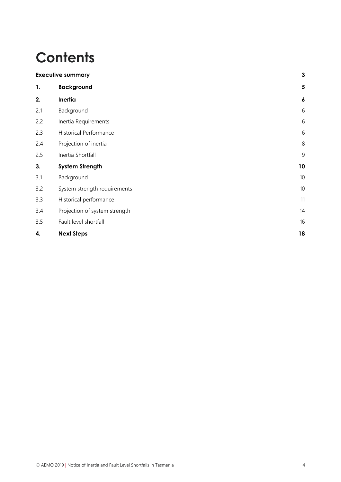# **Contents**

|     | <b>Executive summary</b>      |                  |  |  |  |  |
|-----|-------------------------------|------------------|--|--|--|--|
| 1.  | <b>Background</b>             | 5                |  |  |  |  |
| 2.  | Inertia                       | $\boldsymbol{6}$ |  |  |  |  |
| 2.1 | Background                    | 6                |  |  |  |  |
| 2.2 | Inertia Requirements          | 6                |  |  |  |  |
| 2.3 | <b>Historical Performance</b> | 6                |  |  |  |  |
| 2.4 | Projection of inertia         | $8\,$            |  |  |  |  |
| 2.5 | Inertia Shortfall             | 9                |  |  |  |  |
| 3.  | <b>System Strength</b>        | 10               |  |  |  |  |
| 3.1 | Background                    | 10               |  |  |  |  |
| 3.2 | System strength requirements  | 10               |  |  |  |  |
| 3.3 | Historical performance        | 11               |  |  |  |  |
| 3.4 | Projection of system strength | 14               |  |  |  |  |
| 3.5 | Fault level shortfall         | 16               |  |  |  |  |
| 4.  | <b>Next Steps</b>             | 18               |  |  |  |  |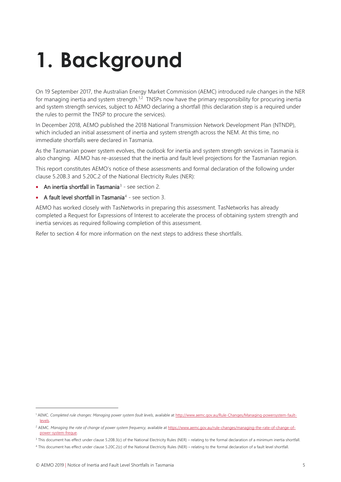# <span id="page-4-0"></span>**1. Background**

On 19 September 2017, the Australian Energy Market Commission (AEMC) introduced rule changes in the NER for managing inertia and system strength.<sup>[1,](#page-4-1)[2](#page-4-2)</sup> TNSPs now have the primary responsibility for procuring inertia and system strength services, subject to AEMO declaring a shortfall (this declaration step is a required under the rules to permit the TNSP to procure the services).

In December 2018, AEMO published the 2018 National Transmission Network Development Plan (NTNDP), which included an initial assessment of inertia and system strength across the NEM. At this time, no immediate shortfalls were declared in Tasmania.

As the Tasmanian power system evolves, the outlook for inertia and system strength services in Tasmania is also changing. AEMO has re-assessed that the inertia and fault level projections for the Tasmanian region.

This report constitutes AEMO's notice of these assessments and formal declaration of the following under clause 5.20B.3 and 5.20C.2 of the National Electricity Rules (NER):

- An inertia shortfall in Tasmania<sup>[3](#page-4-3)</sup> see section [2.](#page-5-0)
- A fault level shortfall in Tasmania<sup>[4](#page-4-4)</sup> see section [3.](#page-9-0)

AEMO has worked closely with TasNetworks in preparing this assessment. TasNetworks has already completed a Request for Expressions of Interest to accelerate the process of obtaining system strength and inertia services as required following completion of this assessment.

Refer to section [4](#page-17-0) for more information on the next steps to address these shortfalls.

 $\overline{a}$ 

<span id="page-4-1"></span><sup>1</sup> AEMC. *Completed rule changes: Managing power system fault levels,* available a[t http://www.aemc.gov.au/Rule-Changes/Managing-powersystem-fault](http://www.aemc.gov.au/Rule-Changes/Managing-powersystem-fault-levels)[levels.](http://www.aemc.gov.au/Rule-Changes/Managing-powersystem-fault-levels) 

<span id="page-4-2"></span><sup>&</sup>lt;sup>2</sup> AEMC. *Managing the rate of change of power system frequency*, available a[t https://www.aemc.gov.au/rule-changes/managing-the-rate-of-change-of](https://www.aemc.gov.au/rule-changes/managing-the-rate-of-change-of-power-system-freque)[power-system-freque.](https://www.aemc.gov.au/rule-changes/managing-the-rate-of-change-of-power-system-freque) 

<span id="page-4-3"></span><sup>&</sup>lt;sup>3</sup> This document has effect under clause 5.20B.3(c) of the National Electricity Rules (NER) – relating to the formal declaration of a minimum inertia shortfall.

<span id="page-4-4"></span><sup>4</sup> This document has effect under clause 5.20C.2(c) of the National Electricity Rules (NER) – relating to the formal declaration of a fault level shortfall.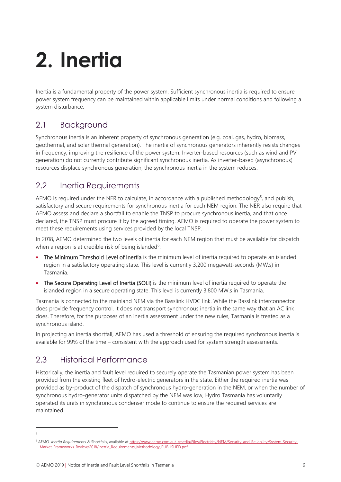# <span id="page-5-0"></span>**2. Inertia**

Inertia is a fundamental property of the power system. Sufficient synchronous inertia is required to ensure power system frequency can be maintained within applicable limits under normal conditions and following a system disturbance.

## <span id="page-5-1"></span>2.1 Background

Synchronous inertia is an inherent property of synchronous generation (e.g. coal, gas, hydro, biomass, geothermal, and solar thermal generation). The inertia of synchronous generators inherently resists changes in frequency, improving the resilience of the power system. Inverter-based resources (such as wind and PV generation) do not currently contribute significant synchronous inertia. As inverter-based (asynchronous) resources displace synchronous generation, the synchronous inertia in the system reduces.

### <span id="page-5-2"></span>2.2 Inertia Requirements

AEMO is required under the NER to calculate, in accordance with a published methodology<sup>[5](#page-5-4)</sup>, and publish, satisfactory and secure requirements for synchronous inertia for each NEM region. The NER also require that AEMO assess and declare a shortfall to enable the TNSP to procure synchronous inertia, and that once declared, the TNSP must procure it by the agreed timing. AEMO is required to operate the power system to meet these requirements using services provided by the local TNSP.

In 2018, AEMO determined the two levels of inertia for each NEM region that must be available for dispatch when a region is at credible risk of being islanded<sup>[6](#page-5-5)</sup>:

- The Minimum Threshold Level of Inertia is the minimum level of inertia required to operate an islanded region in a satisfactory operating state. This level is currently 3,200 megawatt-seconds (MW.s) in Tasmania.
- The Secure Operating Level of Inertia (SOLI) is the minimum level of inertia required to operate the islanded region in a secure operating state. This level is currently 3,800 MW.s in Tasmania.

Tasmania is connected to the mainland NEM via the Basslink HVDC link. While the Basslink interconnector does provide frequency control, it does not transport synchronous inertia in the same way that an AC link does. Therefore, for the purposes of an inertia assessment under the new rules, Tasmania is treated as a synchronous island.

In projecting an inertia shortfall, AEMO has used a threshold of ensuring the required synchronous inertia is available for 99% of the time – consistent with the approach used for system strength assessments.

# <span id="page-5-3"></span>2.3 Historical Performance

 $\overline{a}$ 5

Historically, the inertia and fault level required to securely operate the Tasmanian power system has been provided from the existing fleet of hydro-electric generators in the state. Either the required inertia was provided as by-product of the dispatch of synchronous hydro-generation in the NEM, or when the number of synchronous hydro-generator units dispatched by the NEM was low, Hydro Tasmania has voluntarily operated its units in synchronous condenser mode to continue to ensure the required services are maintained.

<span id="page-5-5"></span><span id="page-5-4"></span><sup>&</sup>lt;sup>6</sup> AEMO. *Inertia Requirements & Shortfalls, available at https://www.aemo.com.au/-/media/Files/Electricity/NEM/Security-and\_Reliability/System-Security-*Market-Frameworks-Review/2018/Inertia\_Requirements\_Methodology\_PUBLISHED.pdf.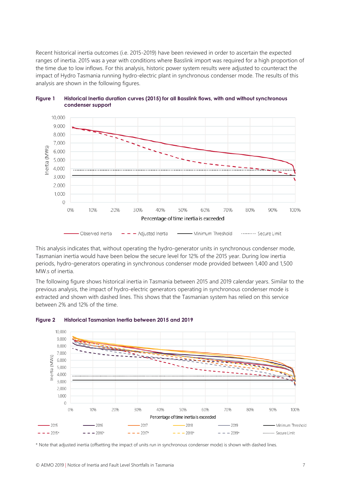Recent historical inertia outcomes (i.e. 2015-2019) have been reviewed in order to ascertain the expected ranges of inertia. 2015 was a year with conditions where Basslink import was required for a high proportion of the time due to low inflows. For this analysis, historic power system results were adjusted to counteract the impact of Hydro Tasmania running hydro-electric plant in synchronous condenser mode. The results of this analysis are shown in the following figures.





This analysis indicates that, without operating the hydro-generator units in synchronous condenser mode, Tasmanian inertia would have been below the secure level for 12% of the 2015 year. During low inertia periods, hydro-generators operating in synchronous condenser mode provided between 1,400 and 1,500 MW.s of inertia.

The following figure shows historical inertia in Tasmania between 2015 and 2019 calendar years. Similar to the previous analysis, the impact of hydro-electric generators operating in synchronous condenser mode is extracted and shown with dashed lines. This shows that the Tasmanian system has relied on this service between 2% and 12% of the time.





\* Note that adjusted inertia (offsetting the impact of units run in synchronous condenser mode) is shown with dashed lines.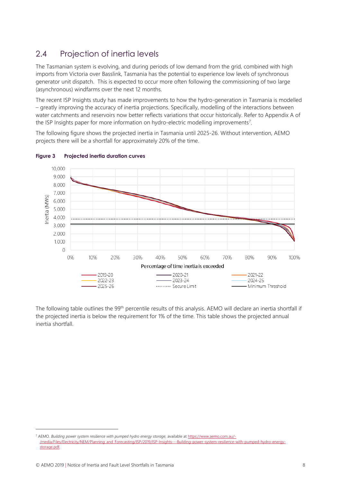# <span id="page-7-0"></span>2.4 Projection of inertia levels

The Tasmanian system is evolving, and during periods of low demand from the grid, combined with high imports from Victoria over Basslink, Tasmania has the potential to experience low levels of synchronous generator unit dispatch. This is expected to occur more often following the commissioning of two large (asynchronous) windfarms over the next 12 months.

The recent ISP Insights study has made improvements to how the hydro-generation in Tasmania is modelled – greatly improving the accuracy of inertia projections. Specifically, modelling of the interactions between water catchments and reservoirs now better reflects variations that occur historically. Refer to Appendix A of the ISP Insights paper for more information on hydro-electric modelling improvements<sup>[7](#page-7-1)</sup>.

The following figure shows the projected inertia in Tasmania until 2025-26. Without intervention, AEMO projects there will be a shortfall for approximately 20% of the time.



#### **Figure 3 Projected inertia duration curves**

The following table outlines the 99<sup>th</sup> percentile results of this analysis. AEMO will declare an inertia shortfall if the projected inertia is below the requirement for 1% of the time. This table shows the projected annual inertia shortfall.

l

<span id="page-7-1"></span><sup>7</sup> AEMO. *Building power system resilience with pumped hydro energy storage*, available a[t https://www.aemo.com.au/-](https://www.aemo.com.au/-/media/Files/Electricity/NEM/Planning_and_Forecasting/ISP/2019/ISP-Insights---Building-power-system-resilience-with-pumped-hydro-energy-storage.pdf) [/media/Files/Electricity/NEM/Planning\\_and\\_Forecasting/ISP/2019/ISP-Insights---Building-power-system-resilience-with-pumped-hydro-energy](https://www.aemo.com.au/-/media/Files/Electricity/NEM/Planning_and_Forecasting/ISP/2019/ISP-Insights---Building-power-system-resilience-with-pumped-hydro-energy-storage.pdf)[storage.pdf.](https://www.aemo.com.au/-/media/Files/Electricity/NEM/Planning_and_Forecasting/ISP/2019/ISP-Insights---Building-power-system-resilience-with-pumped-hydro-energy-storage.pdf)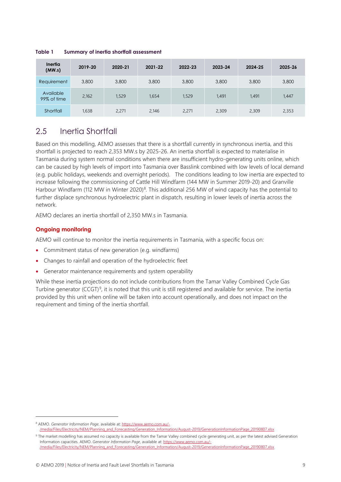**Inertia (MW.s) 2019-20 2020-21 2021-22 2022-23 2023-24 2024-25 2025-26** Requirement 3,800 3,800 3,800 3,800 3,800 3,800 3,800 Available<br>99% of time 99% of time 2,162 1,529 1,654 1,529 1,491 1,491 1,447 Shortfall 1,638 2,271 2,146 2,271 2,309 2,309 2,353

**Table 1 Summary of inertia shortfall assessment** 

### <span id="page-8-0"></span>2.5 Inertia Shortfall

Based on this modelling, AEMO assesses that there is a shortfall currently in synchronous inertia, and this shortfall is projected to reach 2,353 MW.s by 2025-26. An inertia shortfall is expected to materialise in Tasmania during system normal conditions when there are insufficient hydro-generating units online, which can be caused by high levels of import into Tasmania over Basslink combined with low levels of local demand (e.g. public holidays, weekends and overnight periods). The conditions leading to low inertia are expected to increase following the commissioning of Cattle Hill Windfarm (144 MW in Summer 2019-20) and Granville Harbour Windfarm (112 MW in Winter 2020)<sup>[8](#page-8-1)</sup>. This additional 256 MW of wind capacity has the potential to further displace synchronous hydroelectric plant in dispatch, resulting in lower levels of inertia across the network.

AEMO declares an inertia shortfall of 2,350 MW.s in Tasmania.

#### **Ongoing monitoring**

l

AEMO will continue to monitor the inertia requirements in Tasmania, with a specific focus on:

- Commitment status of new generation (e.g. windfarms)
- Changes to rainfall and operation of the hydroelectric fleet
- Generator maintenance requirements and system operability

While these inertia projections do not include contributions from the Tamar Valley Combined Cycle Gas Turbine generator (CCGT)<sup>[9](#page-8-2)</sup>, it is noted that this unit is still registered and available for service. The inertia provided by this unit when online will be taken into account operationally, and does not impact on the requirement and timing of the inertia shortfall.

<span id="page-8-1"></span><sup>&</sup>lt;sup>8</sup> AEMO. *Generator Information Page*, available at: [https://www.aemo.com.au/-](https://www.aemo.com.au/-/media/Files/Electricity/NEM/Planning_and_Forecasting/Generation_Information/August-2019/GenerationInformationPage_20190807.xlsx) [/media/Files/Electricity/NEM/Planning\\_and\\_Forecasting/Generation\\_Information/August-2019/GenerationInformationPage\\_20190807.xlsx](https://www.aemo.com.au/-/media/Files/Electricity/NEM/Planning_and_Forecasting/Generation_Information/August-2019/GenerationInformationPage_20190807.xlsx)

<span id="page-8-2"></span><sup>&</sup>lt;sup>9</sup> The market modelling has assumed no capacity is available from the Tamar Valley combined cycle generating unit, as per the latest advised Generation Information capacities. AEMO. *Generator Information Page*, available at[: https://www.aemo.com.au/-](https://www.aemo.com.au/-/media/Files/Electricity/NEM/Planning_and_Forecasting/Generation_Information/August-2019/GenerationInformationPage_20190807.xlsx) [/media/Files/Electricity/NEM/Planning\\_and\\_Forecasting/Generation\\_Information/August-2019/GenerationInformationPage\\_20190807.xlsx](https://www.aemo.com.au/-/media/Files/Electricity/NEM/Planning_and_Forecasting/Generation_Information/August-2019/GenerationInformationPage_20190807.xlsx)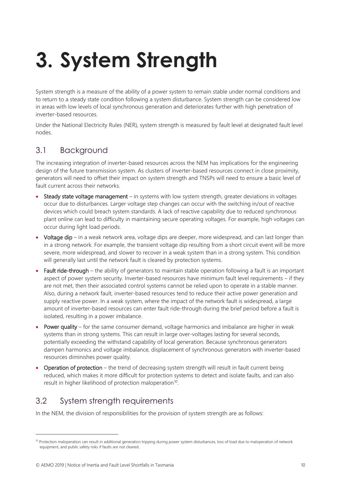# <span id="page-9-0"></span>**3. System Strength**

System strength is a measure of the ability of a power system to remain stable under normal conditions and to return to a steady state condition following a system disturbance. System strength can be considered low in areas with low levels of local synchronous generation and deteriorates further with high penetration of inverter-based resources.

Under the National Electricity Rules (NER), system strength is measured by fault level at designated fault level nodes.

### <span id="page-9-1"></span>3.1 Background

The increasing integration of inverter-based resources across the NEM has implications for the engineering design of the future transmission system. As clusters of inverter-based resources connect in close proximity, generators will need to offset their impact on system strength and TNSPs will need to ensure a basic level of fault current across their networks.

- Steady state voltage management in systems with low system strength, greater deviations in voltages occur due to disturbances. Larger voltage step changes can occur with the switching in/out of reactive devices which could breach system standards. A lack of reactive capability due to reduced synchronous plant online can lead to difficulty in maintaining secure operating voltages. For example, high voltages can occur during light load periods.
- Voltage dip in a weak network area, voltage dips are deeper, more widespread, and can last longer than in a strong network. For example, the transient voltage dip resulting from a short circuit event will be more severe, more widespread, and slower to recover in a weak system than in a strong system. This condition will generally last until the network fault is cleared by protection systems.
- Fault ride-through the ability of generators to maintain stable operation following a fault is an important aspect of power system security. Inverter-based resources have minimum fault level requirements – if they are not met, then their associated control systems cannot be relied upon to operate in a stable manner. Also, during a network fault, inverter-based resources tend to reduce their active power generation and supply reactive power. In a weak system, where the impact of the network fault is widespread, a large amount of inverter-based resources can enter fault ride-through during the brief period before a fault is isolated, resulting in a power imbalance.
- Power quality for the same consumer demand, voltage harmonics and imbalance are higher in weak systems than in strong systems. This can result in large over-voltages lasting for several seconds, potentially exceeding the withstand capability of local generation. Because synchronous generators dampen harmonics and voltage imbalance, displacement of synchronous generators with inverter-based resources diminishes power quality.
- Operation of protection the trend of decreasing system strength will result in fault current being reduced, which makes it more difficult for protection systems to detect and isolate faults, and can also result in higher likelihood of protection maloperation<sup>10</sup>.

# <span id="page-9-2"></span>3.2 System strength requirements

In the NEM, the division of responsibilities for the provision of system strength are as follows:

 $\overline{a}$ 

<span id="page-9-3"></span><sup>&</sup>lt;sup>10</sup> Protection maloperation can result in additional generation tripping during power system disturbances, loss of load due to maloperation of network equipment, and public safety risks if faults are not cleared.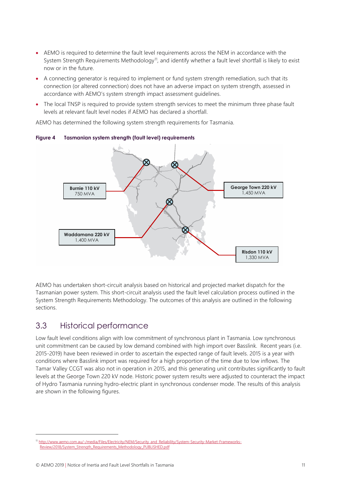- AEMO is required to determine the fault level requirements across the NEM in accordance with the System Strength Requirements Methodology<sup>11</sup>, and identify whether a fault level shortfall is likely to exist now or in the future.
- A connecting generator is required to implement or fund system strength remediation, such that its connection (or altered connection) does not have an adverse impact on system strength, assessed in accordance with AEMO's system strength impact assessment guidelines.
- The local TNSP is required to provide system strength services to meet the minimum three phase fault levels at relevant fault level nodes if AEMO has declared a shortfall.

AEMO has determined the following system strength requirements for Tasmania.



**Figure 4 Tasmanian system strength (fault level) requirements**

AEMO has undertaken short-circuit analysis based on historical and projected market dispatch for the Tasmanian power system. This short-circuit analysis used the fault level calculation process outlined in the System Strength Requirements Methodology. The outcomes of this analysis are outlined in the following sections.

### <span id="page-10-0"></span>3.3 Historical performance

Low fault level conditions align with low commitment of synchronous plant in Tasmania. Low synchronous unit commitment can be caused by low demand combined with high import over Basslink. Recent years (i.e. 2015-2019) have been reviewed in order to ascertain the expected range of fault levels. 2015 is a year with conditions where Basslink import was required for a high proportion of the time due to low inflows. The Tamar Valley CCGT was also not in operation in 2015, and this generating unit contributes significantly to fault levels at the George Town 220 kV node. Historic power system results were adjusted to counteract the impact of Hydro Tasmania running hydro-electric plant in synchronous condenser mode. The results of this analysis are shown in the following figures.

 $\overline{a}$ 

<span id="page-10-1"></span><sup>&</sup>lt;sup>11</sup> [http://www.aemo.com.au/-/media/Files/Electricity/NEM/Security\\_and\\_Reliability/System-Security-Market-Frameworks-](http://www.aemo.com.au/-/media/Files/Electricity/NEM/Security_and_Reliability/System-Security-Market-Frameworks-Review/2018/System_Strength_Requirements_Methodology_PUBLISHED.pdf)[Review/2018/System\\_Strength\\_Requirements\\_Methodology\\_PUBLISHED.pdf](http://www.aemo.com.au/-/media/Files/Electricity/NEM/Security_and_Reliability/System-Security-Market-Frameworks-Review/2018/System_Strength_Requirements_Methodology_PUBLISHED.pdf)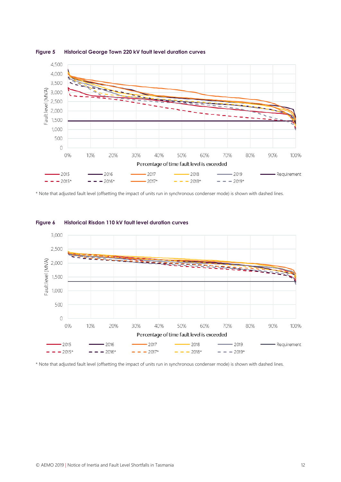

**Figure 5 Historical George Town 220 kV fault level duration curves** 

\* Note that adjusted fault level (offsetting the impact of units run in synchronous condenser mode) is shown with dashed lines.



#### **Figure 6 Historical Risdon 110 kV fault level duration curves**

\* Note that adjusted fault level (offsetting the impact of units run in synchronous condenser mode) is shown with dashed lines.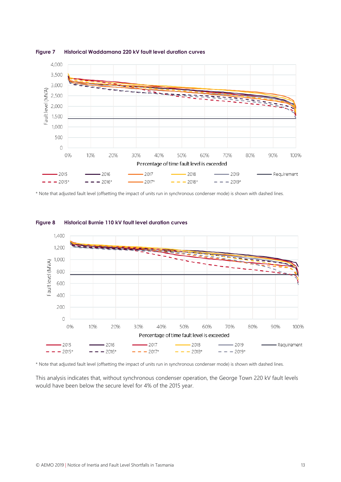

**Figure 7 Historical Waddamana 220 kV fault level duration curves**

\* Note that adjusted fault level (offsetting the impact of units run in synchronous condenser mode) is shown with dashed lines.



#### **Figure 8 Historical Burnie 110 kV fault level duration curves**

\* Note that adjusted fault level (offsetting the impact of units run in synchronous condenser mode) is shown with dashed lines.

This analysis indicates that, without synchronous condenser operation, the George Town 220 kV fault levels would have been below the secure level for 4% of the 2015 year.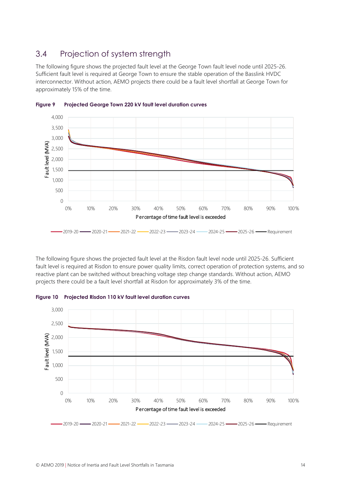### <span id="page-13-0"></span>3.4 Projection of system strength

The following figure shows the projected fault level at the George Town fault level node until 2025-26. Sufficient fault level is required at George Town to ensure the stable operation of the Basslink HVDC interconnector. Without action, AEMO projects there could be a fault level shortfall at George Town for approximately 15% of the time.



**Figure 9 Projected George Town 220 kV fault level duration curves** 

The following figure shows the projected fault level at the Risdon fault level node until 2025-26. Sufficient fault level is required at Risdon to ensure power quality limits, correct operation of protection systems, and so reactive plant can be switched without breaching voltage step change standards. Without action, AEMO projects there could be a fault level shortfall at Risdon for approximately 3% of the time.



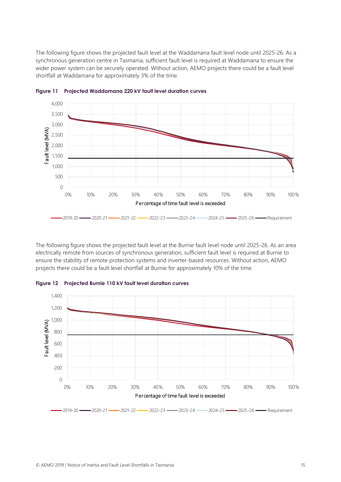The following figure shows the projected fault level at the Waddamana fault level node until 2025-26. As a synchronous generation centre in Tasmania, sufficient fault level is required at Waddamana to ensure the wider power system can be securely operated. Without action, AEMO projects there could be a fault level shortfall at Waddamana for approximately 3% of the time.



**Figure 11 Projected Waddamana 220 kV fault level duration curves**

The following figure shows the projected fault level at the Burnie fault level node until 2025-26. As an area electrically remote from sources of synchronous generation, sufficient fault level is required at Burnie to ensure the stability of remote protection systems and inverter-based resources. Without action, AEMO projects there could be a fault level shortfall at Burnie for approximately 10% of the time.



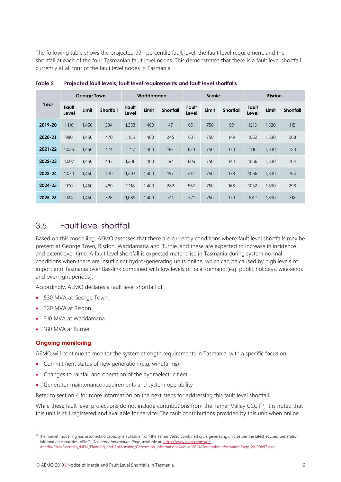The following table shows the projected 99<sup>th</sup> percentile fault level, the fault level requirement, and the shortfall at each of the four Tasmanian fault level nodes. This demonstrates that there is a fault level shortfall currently at all four of the fault level nodes in Tasmania.

| Year    | <b>George Town</b> |       |           | Waddamana      |       | <b>Burnie</b>    |                |       | <b>Risdon</b>    |                |       |                  |
|---------|--------------------|-------|-----------|----------------|-------|------------------|----------------|-------|------------------|----------------|-------|------------------|
|         | Fault<br>Level     | Limit | Shortfall | Fault<br>Level | Limit | <b>Shortfall</b> | Fault<br>Level | Limit | <b>Shortfall</b> | Fault<br>Level | Limit | <b>Shortfall</b> |
| 2019-20 | 1,116              | 1,450 | 334       | 1,353          | 1,400 | 47               | 651            | 750   | 99               | 1215           | 1,330 | 115              |
| 2020-21 | 980                | 1,450 | 470       | 1,155          | 1,400 | 245              | 601            | 750   | 149              | 1062           | 1,330 | 268              |
| 2021-22 | 1,026              | 1,450 | 424       | 1,217          | 1,400 | 183              | 620            | 750   | 130              | 1110           | 1,330 | 220              |
| 2022-23 | 1,007              | 1,450 | 443       | 1,206          | 1,400 | 194              | 606            | 750   | 144              | 1066           | 1,330 | 264              |
| 2023-24 | 1,030              | 1,450 | 420       | 1,203          | 1,400 | 197              | 612            | 750   | 138              | 1066           | 1,330 | 264              |
| 2024-25 | 970                | 1.450 | 480       | 1.118          | 1,400 | 282              | 582            | 750   | 168              | 1032           | 1,330 | 298              |
| 2025-26 | 924                | 1.450 | 526       | 1.089          | 1,400 | 311              | 571            | 750   | 179              | 1012           | 1,330 | 318              |

**Table 2 Projected fault levels, fault level requirements and fault level shortfalls**

### <span id="page-15-0"></span>3.5 Fault level shortfall

Based on this modelling, AEMO assesses that there are currently conditions where fault level shortfalls may be present at George Town, Risdon, Waddamana and Burnie, and these are expected to increase in incidence and extent over time. A fault level shortfall is expected materialise in Tasmania during system normal conditions when there are insufficient hydro-generating units online, which can be caused by high levels of import into Tasmania over Basslink combined with low levels of local demand (e.g. public holidays, weekends and overnight periods).

Accordingly, AEMO declares a fault level shortfall of:

- 530 MVA at George Town.
- 320 MVA at Risdon.
- 310 MVA at Waddamana.
- 180 MVA at Burnie.

#### **Ongoing monitoring**

l

AEMO will continue to monitor the system strength requirements in Tasmania, with a specific focus on:

- Commitment status of new generation (e.g. windfarms)
- Changes to rainfall and operation of the hydroelectric fleet
- Generator maintenance requirements and system operability

Refer to section [4](#page-17-0) for more information on the next steps for addressing this fault level shortfall.

While these fault level projections do not include contributions from the Tamar Valley CCGT<sup>12</sup>, it is noted that this unit is still registered and available for service. The fault contributions provided by this unit when online

<span id="page-15-1"></span><sup>&</sup>lt;sup>12</sup> The market modelling has assumed no capacity is available from the Tamar Valley combined cycle generating unit, as per the latest advised Generation Information capacities. AEMO. *Generator Information Page*, available at[: https://www.aemo.com.au/-](https://www.aemo.com.au/-/media/Files/Electricity/NEM/Planning_and_Forecasting/Generation_Information/August-2019/GenerationInformationPage_20190807.xlsx) [/media/Files/Electricity/NEM/Planning\\_and\\_Forecasting/Generation\\_Information/August-2019/GenerationInformationPage\\_20190807.xlsx](https://www.aemo.com.au/-/media/Files/Electricity/NEM/Planning_and_Forecasting/Generation_Information/August-2019/GenerationInformationPage_20190807.xlsx)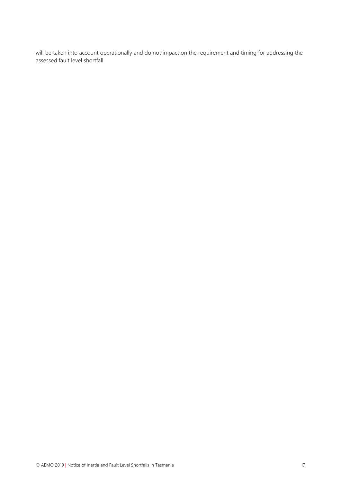will be taken into account operationally and do not impact on the requirement and timing for addressing the assessed fault level shortfall.